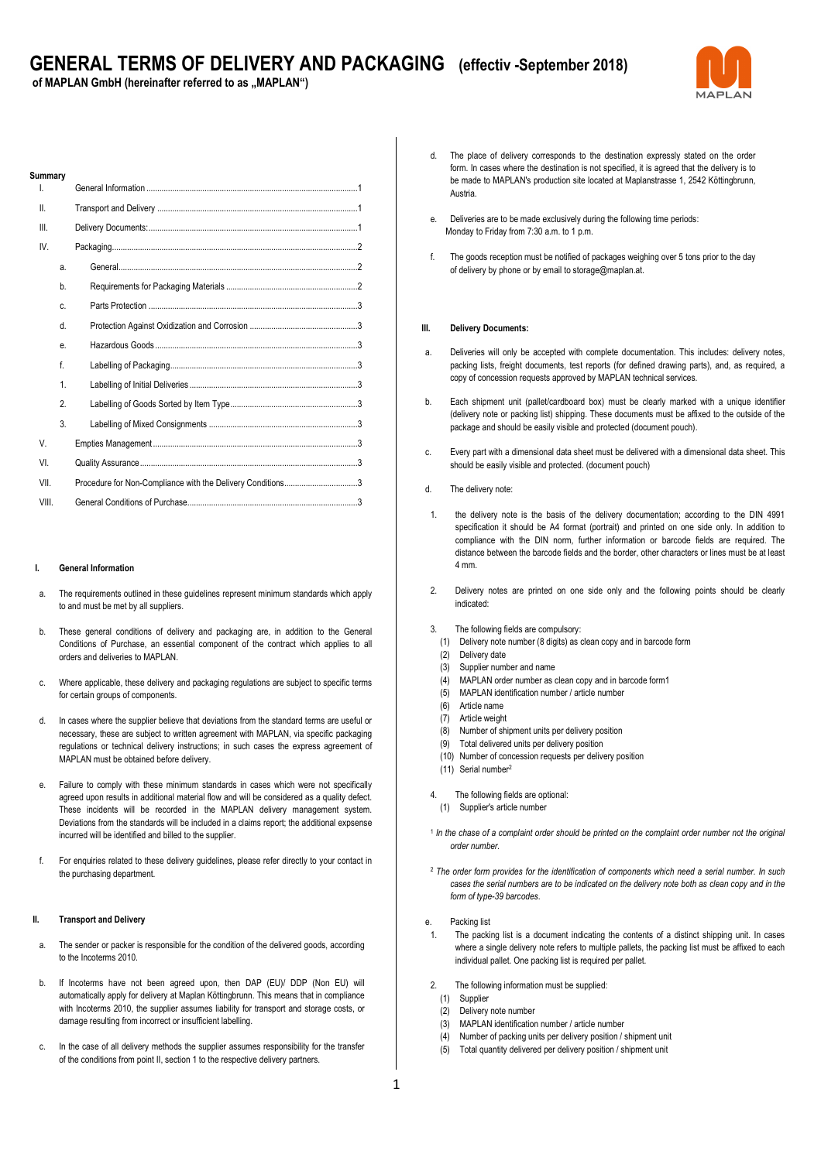of MAPLAN GmbH (hereinafter referred to as "MAPLAN")



| Summarv |                |                                                            |
|---------|----------------|------------------------------------------------------------|
| I.      |                |                                                            |
| II.     |                |                                                            |
| III.    |                |                                                            |
| IV.     |                |                                                            |
|         | a.             |                                                            |
|         | b.             |                                                            |
|         | C.             |                                                            |
|         | d.             |                                                            |
|         | e.             |                                                            |
|         | f              |                                                            |
|         | 1.             |                                                            |
|         | $\mathfrak{p}$ |                                                            |
|         | 3.             |                                                            |
| V.      |                |                                                            |
| VI.     |                |                                                            |
| VII.    |                | Procedure for Non-Compliance with the Delivery Conditions3 |
| VIII.   |                |                                                            |

#### **I. General Information**

- a. The requirements outlined in these guidelines represent minimum standards which apply to and must be met by all suppliers.
- b. These general conditions of delivery and packaging are, in addition to the General Conditions of Purchase, an essential component of the contract which applies to all orders and deliveries to MAPLAN.
- c. Where applicable, these delivery and packaging regulations are subject to specific terms for certain groups of components.
- d. In cases where the supplier believe that deviations from the standard terms are useful or necessary, these are subject to written agreement with MAPLAN, via specific packaging regulations or technical delivery instructions; in such cases the express agreement of MAPLAN must be obtained before delivery.
- e. Failure to comply with these minimum standards in cases which were not specifically agreed upon results in additional material flow and will be considered as a quality defect. These incidents will be recorded in the MAPLAN delivery management system. Deviations from the standards will be included in a claims report; the additional expsense incurred will be identified and billed to the supplier.
- f. For enquiries related to these delivery guidelines, please refer directly to your contact in the purchasing department.

#### **II. Transport and Delivery**

- a. The sender or packer is responsible for the condition of the delivered goods, according to the Incoterms 2010.
- b. If Incoterms have not been agreed upon, then DAP (EU)/ DDP (Non EU) will automatically apply for delivery at Maplan Köttingbrunn. This means that in compliance with Incoterms 2010, the supplier assumes liability for transport and storage costs, or damage resulting from incorrect or insufficient labelling.
- c. In the case of all delivery methods the supplier assumes responsibility for the transfer of the conditions from point II, section 1 to the respective delivery partners.
- d. The place of delivery corresponds to the destination expressly stated on the order form. In cases where the destination is not specified, it is agreed that the delivery is to be made to MAPLAN's production site located at Maplanstrasse 1, 2542 Köttingbrunn, Austria.
- e. Deliveries are to be made exclusively during the following time periods: Monday to Friday from 7:30 a.m. to 1 p.m.
- f. The goods reception must be notified of packages weighing over 5 tons prior to the day of delivery by phone or by email to storage@maplan.at.

#### **III. Delivery Documents:**

- a. Deliveries will only be accepted with complete documentation. This includes: delivery notes, packing lists, freight documents, test reports (for defined drawing parts), and, as required, a copy of concession requests approved by MAPLAN technical services.
- b. Each shipment unit (pallet/cardboard box) must be clearly marked with a unique identifier (delivery note or packing list) shipping. These documents must be affixed to the outside of the package and should be easily visible and protected (document pouch).
- c. Every part with a dimensional data sheet must be delivered with a dimensional data sheet. This should be easily visible and protected. (document pouch)
- d. The delivery note:
- 1. the delivery note is the basis of the delivery documentation; according to the DIN 4991 specification it should be A4 format (portrait) and printed on one side only. In addition to compliance with the DIN norm, further information or barcode fields are required. The distance between the barcode fields and the border, other characters or lines must be at least 4 mm.
- 2. Delivery notes are printed on one side only and the following points should be clearly indicated:
- 3. The following fields are compulsory:
- (1) Delivery note number (8 digits) as clean copy and in barcode form
- (2) Delivery date
- (3) Supplier number and name
- (4) MAPLAN order number as clean copy and in barcode form1
- (5) MAPLAN identification number / article number
- (6) Article name
- (7) Article weight
- (8) Number of shipment units per delivery position
- (9) Total delivered units per delivery position
- (10) Number of concession requests per delivery position
- (11) Serial number<sup>2</sup>
- The following fields are optional:
- (1) Supplier's article number
- <sup>1</sup> In the chase of a complaint order should be printed on the complaint order number not the original *order number.*
- <sup>2</sup> *The order form provides for the identification of components which need a serial number. In such cases the serial numbers are to be indicated on the delivery note both as clean copy and in the form of type-39 barcodes*.
- e. Packing list
- 1. The packing list is a document indicating the contents of a distinct shipping unit. In cases where a single delivery note refers to multiple pallets, the packing list must be affixed to each individual pallet. One packing list is required per pallet.
- 2. The following information must be supplied:
	- (1) Supplier
	- (2) Delivery note number
	- (3) MAPLAN identification number / article number
	- (4) Number of packing units per delivery position / shipment unit
	- (5) Total quantity delivered per delivery position / shipment unit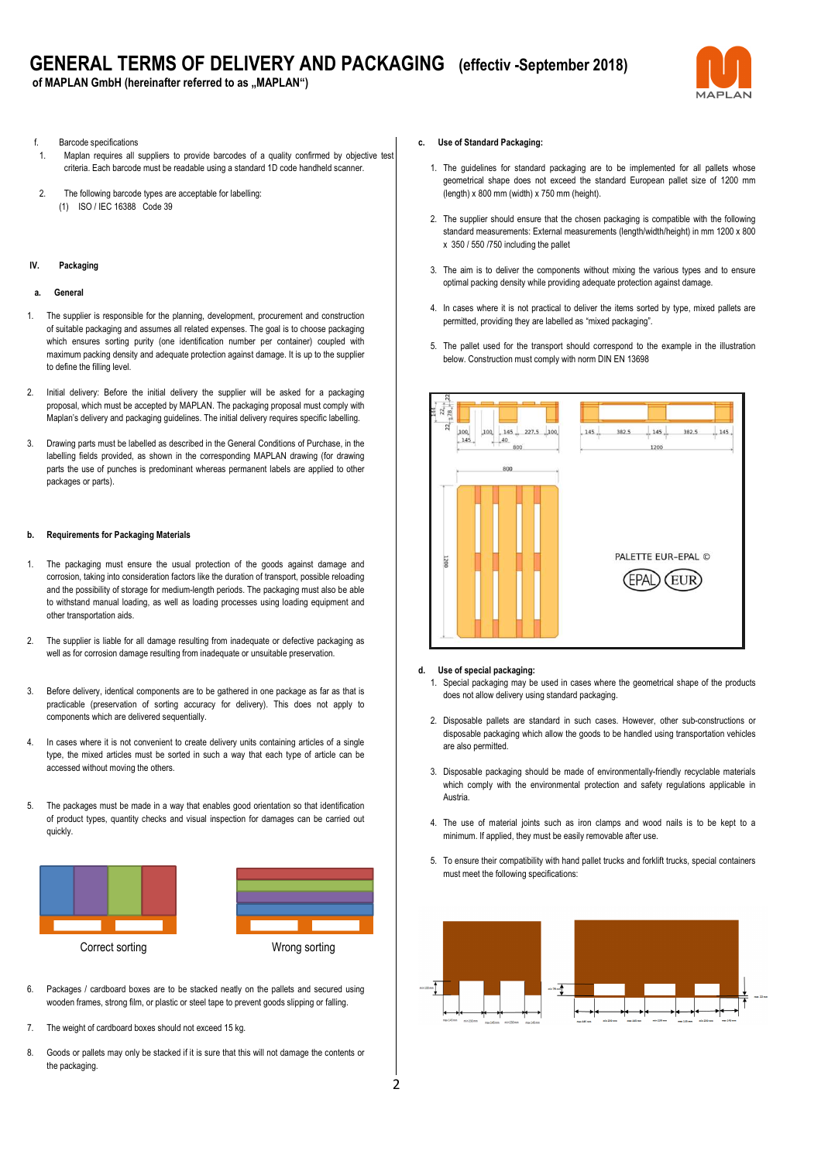# **GENERAL TERMS OF DELIVERY AND PACKAGING (effectiv -September 2018)**

of MAPLAN GmbH (hereinafter referred to as "MAPLAN")



- f. Barcode specifications
- Maplan requires all suppliers to provide barcodes of a quality confirmed by objective test criteria. Each barcode must be readable using a standard 1D code handheld scanner.
- 2. The following barcode types are acceptable for labelling: (1) ISO / IEC 16388 Code 39

#### **IV. Packaging**

#### **a. General**

- 1. The supplier is responsible for the planning, development, procurement and construction of suitable packaging and assumes all related expenses. The goal is to choose packaging which ensures sorting purity (one identification number per container) coupled with maximum packing density and adequate protection against damage. It is up to the supplier to define the filling level.
- 2. Initial delivery: Before the initial delivery the supplier will be asked for a packaging proposal, which must be accepted by MAPLAN. The packaging proposal must comply with Maplan's delivery and packaging guidelines. The initial delivery requires specific labelling.
- 3. Drawing parts must be labelled as described in the General Conditions of Purchase, in the labelling fields provided, as shown in the corresponding MAPLAN drawing (for drawing parts the use of punches is predominant whereas permanent labels are applied to other packages or parts).

#### **b. Requirements for Packaging Materials**

- 1. The packaging must ensure the usual protection of the goods against damage and corrosion, taking into consideration factors like the duration of transport, possible reloading and the possibility of storage for medium-length periods. The packaging must also be able to withstand manual loading, as well as loading processes using loading equipment and other transportation aids.
- 2. The supplier is liable for all damage resulting from inadequate or defective packaging as well as for corrosion damage resulting from inadequate or unsuitable preservation.
- 3. Before delivery, identical components are to be gathered in one package as far as that is practicable (preservation of sorting accuracy for delivery). This does not apply to components which are delivered sequentially.
- 4. In cases where it is not convenient to create delivery units containing articles of a single type, the mixed articles must be sorted in such a way that each type of article can be accessed without moving the others.
- 5. The packages must be made in a way that enables good orientation so that identification of product types, quantity checks and visual inspection for damages can be carried out quickly.





6. Packages / cardboard boxes are to be stacked neatly on the pallets and secured using wooden frames, strong film, or plastic or steel tape to prevent goods slipping or falling.

- 7. The weight of cardboard boxes should not exceed 15 kg.
- 8. Goods or pallets may only be stacked if it is sure that this will not damage the contents or the packaging.

#### **c. Use of Standard Packaging:**

- 1. The guidelines for standard packaging are to be implemented for all pallets whose geometrical shape does not exceed the standard European pallet size of 1200 mm (length) x 800 mm (width) x 750 mm (height).
- 2. The supplier should ensure that the chosen packaging is compatible with the following standard measurements: External measurements (length/width/height) in mm 1200 x 800 x 350 / 550 /750 including the pallet
- 3. The aim is to deliver the components without mixing the various types and to ensure optimal packing density while providing adequate protection against damage.
- 4. In cases where it is not practical to deliver the items sorted by type, mixed pallets are permitted, providing they are labelled as "mixed packaging".
- 5. The pallet used for the transport should correspond to the example in the illustration below. Construction must comply with norm DIN EN 13698



#### **d. Use of special packaging:**

- 1. Special packaging may be used in cases where the geometrical shape of the products does not allow delivery using standard packaging.
- 2. Disposable pallets are standard in such cases. However, other sub-constructions or disposable packaging which allow the goods to be handled using transportation vehicles are also permitted.
- 3. Disposable packaging should be made of environmentally-friendly recyclable materials which comply with the environmental protection and safety regulations applicable in Austria.
- 4. The use of material joints such as iron clamps and wood nails is to be kept to a minimum. If applied, they must be easily removable after use.
- 5. To ensure their compatibility with hand pallet trucks and forklift trucks, special containers must meet the following specifications: